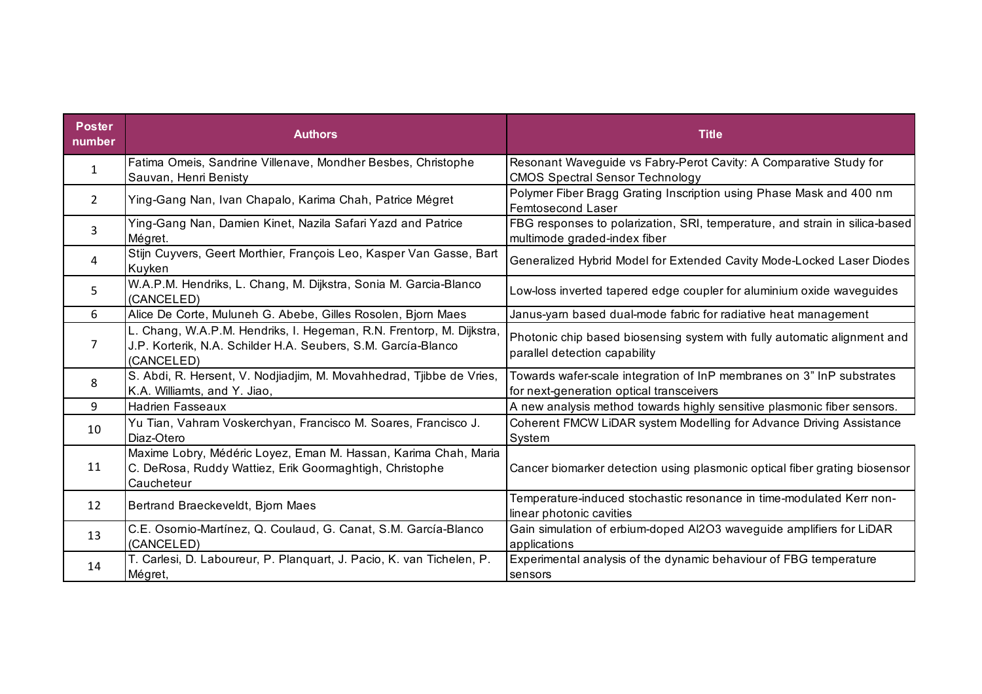| <b>Poster</b><br>number | <b>Authors</b>                                                                                                                                      | <b>Title</b>                                                                                                      |
|-------------------------|-----------------------------------------------------------------------------------------------------------------------------------------------------|-------------------------------------------------------------------------------------------------------------------|
| $\mathbf{1}$            | Fatima Omeis, Sandrine Villenave, Mondher Besbes, Christophe<br>Sauvan, Henri Benisty                                                               | Resonant Waveguide vs Fabry-Perot Cavity: A Comparative Study for<br><b>CMOS Spectral Sensor Technology</b>       |
| 2                       | Ying-Gang Nan, Ivan Chapalo, Karima Chah, Patrice Mégret                                                                                            | Polymer Fiber Bragg Grating Inscription using Phase Mask and 400 nm<br>Femtosecond Laser                          |
| 3                       | Ying-Gang Nan, Damien Kinet, Nazila Safari Yazd and Patrice<br>Mégret.                                                                              | FBG responses to polarization, SRI, temperature, and strain in silica-based<br>multimode graded-index fiber       |
| 4                       | Stijn Cuyvers, Geert Morthier, François Leo, Kasper Van Gasse, Bart<br>Kuyken                                                                       | Generalized Hybrid Model for Extended Cavity Mode-Locked Laser Diodes                                             |
| 5.                      | W.A.P.M. Hendriks, L. Chang, M. Dijkstra, Sonia M. Garcia-Blanco<br>(CANCELED)                                                                      | Low-loss inverted tapered edge coupler for aluminium oxide waveguides                                             |
| 6                       | Alice De Corte, Muluneh G. Abebe, Gilles Rosolen, Bjorn Maes                                                                                        | Janus-yarn based dual-mode fabric for radiative heat management                                                   |
| 7                       | L. Chang, W.A.P.M. Hendriks, I. Hegeman, R.N. Frentorp, M. Dijkstra,<br>J.P. Korterik, N.A. Schilder H.A. Seubers, S.M. García-Blanco<br>(CANCELED) | Photonic chip based biosensing system with fully automatic alignment and<br>parallel detection capability         |
| 8                       | S. Abdi, R. Hersent, V. Nodjiadjim, M. Movahhedrad, Tjibbe de Vries,<br>K.A. Williamts, and Y. Jiao,                                                | Towards wafer-scale integration of InP membranes on 3" InP substrates<br>for next-generation optical transceivers |
| 9                       | <b>Hadrien Fasseaux</b>                                                                                                                             | A new analysis method towards highly sensitive plasmonic fiber sensors.                                           |
| 10                      | Yu Tian, Vahram Voskerchyan, Francisco M. Soares, Francisco J.<br>Diaz-Otero                                                                        | Coherent FMCW LiDAR system Modelling for Advance Driving Assistance<br>System                                     |
| 11                      | Maxime Lobry, Médéric Loyez, Eman M. Hassan, Karima Chah, Maria<br>C. DeRosa, Ruddy Wattiez, Erik Goormaghtigh, Christophe<br>Caucheteur            | Cancer biomarker detection using plasmonic optical fiber grating biosensor                                        |
| 12                      | Bertrand Braeckeveldt, Bjorn Maes                                                                                                                   | Temperature-induced stochastic resonance in time-modulated Kerr non-<br>linear photonic cavities                  |
| 13                      | C.E. Osornio-Martínez, Q. Coulaud, G. Canat, S.M. García-Blanco<br>(CANCELED)                                                                       | Gain simulation of erbium-doped Al2O3 waveguide amplifiers for LiDAR<br>applications                              |
| 14                      | T. Carlesi, D. Laboureur, P. Planquart, J. Pacio, K. van Tichelen, P.<br>Mégret,                                                                    | Experimental analysis of the dynamic behaviour of FBG temperature<br>sensors                                      |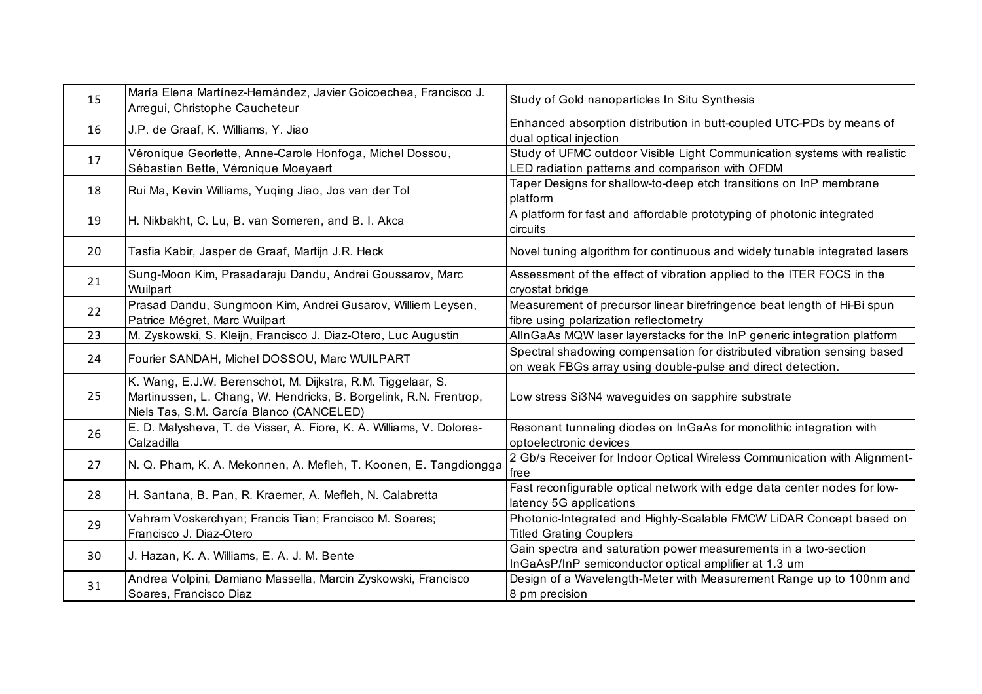| 15 | María Elena Martínez-Hernández, Javier Goicoechea, Francisco J.<br>Arregui, Christophe Caucheteur                                                                            | Study of Gold nanoparticles In Situ Synthesis                                                                                          |
|----|------------------------------------------------------------------------------------------------------------------------------------------------------------------------------|----------------------------------------------------------------------------------------------------------------------------------------|
| 16 | J.P. de Graaf, K. Williams, Y. Jiao                                                                                                                                          | Enhanced absorption distribution in butt-coupled UTC-PDs by means of<br>dual optical injection                                         |
| 17 | Véronique Georlette, Anne-Carole Honfoga, Michel Dossou,<br>Sébastien Bette, Véronique Moeyaert                                                                              | Study of UFMC outdoor Visible Light Communication systems with realistic<br>LED radiation patterns and comparison with OFDM            |
| 18 | Rui Ma, Kevin Williams, Yuging Jiao, Jos van der Tol                                                                                                                         | Taper Designs for shallow-to-deep etch transitions on InP membrane<br>platform                                                         |
| 19 | H. Nikbakht, C. Lu, B. van Someren, and B. I. Akca                                                                                                                           | A platform for fast and affordable prototyping of photonic integrated<br>circuits                                                      |
| 20 | Tasfia Kabir, Jasper de Graaf, Martijn J.R. Heck                                                                                                                             | Novel tuning algorithm for continuous and widely tunable integrated lasers                                                             |
| 21 | Sung-Moon Kim, Prasadaraju Dandu, Andrei Goussarov, Marc<br>Wuilpart                                                                                                         | Assessment of the effect of vibration applied to the ITER FOCS in the<br>cryostat bridge                                               |
| 22 | Prasad Dandu, Sungmoon Kim, Andrei Gusarov, Williem Leysen,<br>Patrice Mégret, Marc Wuilpart                                                                                 | Measurement of precursor linear birefringence beat length of Hi-Bi spun<br>fibre using polarization reflectometry                      |
| 23 | M. Zyskowski, S. Kleijn, Francisco J. Diaz-Otero, Luc Augustin                                                                                                               | AllnGaAs MQW laser layerstacks for the InP generic integration platform                                                                |
| 24 | Fourier SANDAH, Michel DOSSOU, Marc WUILPART                                                                                                                                 | Spectral shadowing compensation for distributed vibration sensing based<br>on weak FBGs array using double-pulse and direct detection. |
| 25 | K. Wang, E.J.W. Berenschot, M. Dijkstra, R.M. Tiggelaar, S.<br>Martinussen, L. Chang, W. Hendricks, B. Borgelink, R.N. Frentrop,<br>Niels Tas, S.M. García Blanco (CANCELED) | Low stress Si3N4 waveguides on sapphire substrate                                                                                      |
| 26 | E. D. Malysheva, T. de Visser, A. Fiore, K. A. Williams, V. Dolores-<br>Calzadilla                                                                                           | Resonant tunneling diodes on InGaAs for monolithic integration with<br>optoelectronic devices                                          |
| 27 | N. Q. Pham, K. A. Mekonnen, A. Mefleh, T. Koonen, E. Tangdiongga                                                                                                             | 2 Gb/s Receiver for Indoor Optical Wireless Communication with Alignment-<br><b>I</b> free                                             |
| 28 | H. Santana, B. Pan, R. Kraemer, A. Mefleh, N. Calabretta                                                                                                                     | Fast reconfigurable optical network with edge data center nodes for low-<br>latency 5G applications                                    |
| 29 | Vahram Voskerchyan; Francis Tian; Francisco M. Soares;<br>Francisco J. Diaz-Otero                                                                                            | Photonic-Integrated and Highly-Scalable FMCW LiDAR Concept based on<br><b>Titled Grating Couplers</b>                                  |
| 30 | J. Hazan, K. A. Williams, E. A. J. M. Bente                                                                                                                                  | Gain spectra and saturation power measurements in a two-section<br>InGaAsP/InP semiconductor optical amplifier at 1.3 um               |
| 31 | Andrea Volpini, Damiano Massella, Marcin Zyskowski, Francisco<br>Soares, Francisco Diaz                                                                                      | Design of a Wavelength-Meter with Measurement Range up to 100nm and<br>8 pm precision                                                  |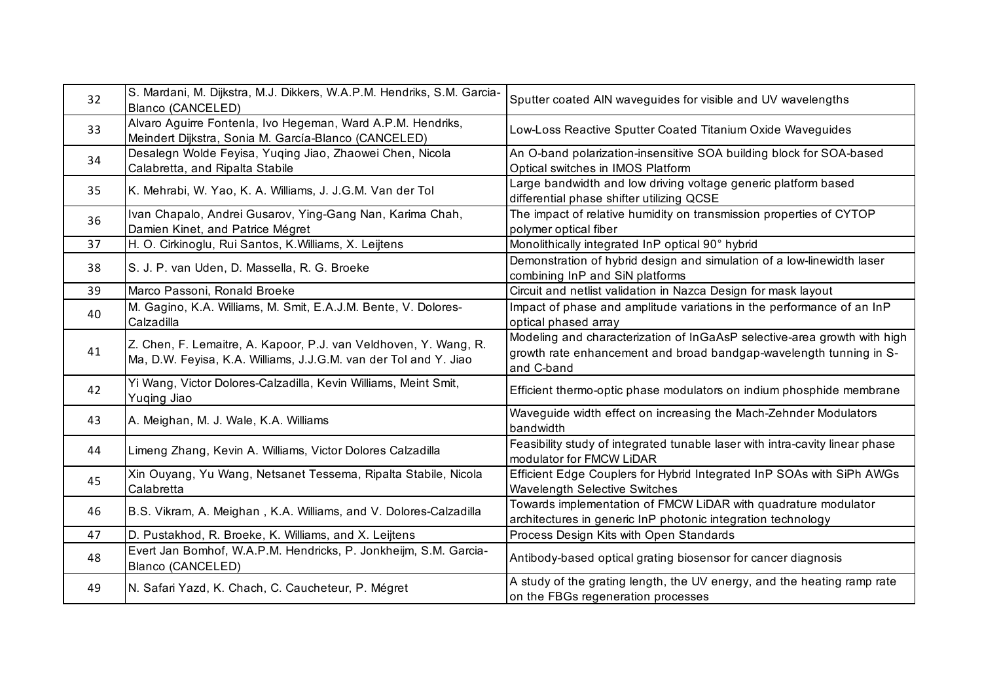| 32 | S. Mardani, M. Dijkstra, M.J. Dikkers, W.A.P.M. Hendriks, S.M. Garcia-<br>Blanco (CANCELED)                                          | Sputter coated AIN waveguides for visible and UV wavelengths                                                                                                 |
|----|--------------------------------------------------------------------------------------------------------------------------------------|--------------------------------------------------------------------------------------------------------------------------------------------------------------|
| 33 | Alvaro Aguirre Fontenla, Ivo Hegeman, Ward A.P.M. Hendriks,<br>Meindert Dijkstra, Sonia M. García-Blanco (CANCELED)                  | Low-Loss Reactive Sputter Coated Titanium Oxide Waveguides                                                                                                   |
| 34 | Desalegn Wolde Feyisa, Yuqing Jiao, Zhaowei Chen, Nicola<br>Calabretta, and Ripalta Stabile                                          | An O-band polarization-insensitive SOA building block for SOA-based<br>Optical switches in IMOS Platform                                                     |
| 35 | K. Mehrabi, W. Yao, K. A. Williams, J. J.G.M. Van der Tol                                                                            | Large bandwidth and low driving voltage generic platform based<br>differential phase shifter utilizing QCSE                                                  |
| 36 | Ivan Chapalo, Andrei Gusarov, Ying-Gang Nan, Karima Chah,<br>Damien Kinet, and Patrice Mégret                                        | The impact of relative humidity on transmission properties of CYTOP<br>polymer optical fiber                                                                 |
| 37 | H. O. Cirkinoglu, Rui Santos, K. Williams, X. Leijtens                                                                               | Monolithically integrated InP optical 90° hybrid                                                                                                             |
| 38 | S. J. P. van Uden, D. Massella, R. G. Broeke                                                                                         | Demonstration of hybrid design and simulation of a low-linewidth laser<br>combining InP and SiN platforms                                                    |
| 39 | Marco Passoni, Ronald Broeke                                                                                                         | Circuit and netlist validation in Nazca Design for mask layout                                                                                               |
| 40 | M. Gagino, K.A. Williams, M. Smit, E.A.J.M. Bente, V. Dolores-<br>Calzadilla                                                         | Impact of phase and amplitude variations in the performance of an InP<br>optical phased array                                                                |
| 41 | Z. Chen, F. Lemaitre, A. Kapoor, P.J. van Veldhoven, Y. Wang, R.<br>Ma, D.W. Feyisa, K.A. Williams, J.J.G.M. van der Tol and Y. Jiao | Modeling and characterization of InGaAsP selective-area growth with high<br>growth rate enhancement and broad bandgap-wavelength tunning in S-<br>and C-band |
| 42 | Yi Wang, Victor Dolores-Calzadilla, Kevin Williams, Meint Smit,<br>Yuqing Jiao                                                       | Efficient thermo-optic phase modulators on indium phosphide membrane                                                                                         |
| 43 | A. Meighan, M. J. Wale, K.A. Williams                                                                                                | Waveguide width effect on increasing the Mach-Zehnder Modulators<br>bandwidth                                                                                |
| 44 | Limeng Zhang, Kevin A. Williams, Victor Dolores Calzadilla                                                                           | Feasibility study of integrated tunable laser with intra-cavity linear phase<br>modulator for FMCW LiDAR                                                     |
| 45 | Xin Ouyang, Yu Wang, Netsanet Tessema, Ripalta Stabile, Nicola<br>Calabretta                                                         | Efficient Edge Couplers for Hybrid Integrated InP SOAs with SiPh AWGs<br><b>Wavelength Selective Switches</b>                                                |
| 46 | B.S. Vikram, A. Meighan, K.A. Williams, and V. Dolores-Calzadilla                                                                    | Towards implementation of FMCW LiDAR with quadrature modulator<br>architectures in generic InP photonic integration technology                               |
| 47 | D. Pustakhod, R. Broeke, K. Williams, and X. Leijtens                                                                                | Process Design Kits with Open Standards                                                                                                                      |
| 48 | Evert Jan Bomhof, W.A.P.M. Hendricks, P. Jonkheijm, S.M. Garcia-<br>Blanco (CANCELED)                                                | Antibody-based optical grating biosensor for cancer diagnosis                                                                                                |
| 49 | N. Safari Yazd, K. Chach, C. Caucheteur, P. Mégret                                                                                   | A study of the grating length, the UV energy, and the heating ramp rate<br>on the FBGs regeneration processes                                                |